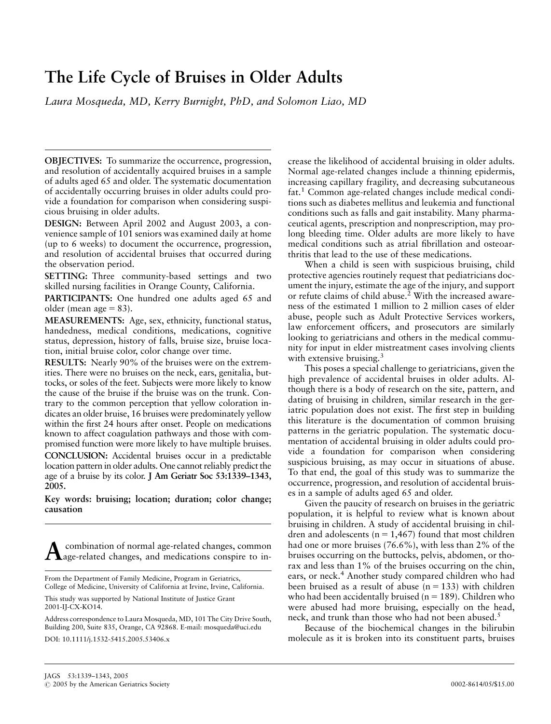# The Life Cycle of Bruises in Older Adults

Laura Mosqueda, MD, Kerry Burnight, PhD, and Solomon Liao, MD

OBJECTIVES: To summarize the occurrence, progression, and resolution of accidentally acquired bruises in a sample of adults aged 65 and older. The systematic documentation of accidentally occurring bruises in older adults could provide a foundation for comparison when considering suspicious bruising in older adults.

DESIGN: Between April 2002 and August 2003, a convenience sample of 101 seniors was examined daily at home (up to 6 weeks) to document the occurrence, progression, and resolution of accidental bruises that occurred during the observation period.

SETTING: Three community-based settings and two skilled nursing facilities in Orange County, California.

PARTICIPANTS: One hundred one adults aged 65 and older (mean age  $= 83$ ).

MEASUREMENTS: Age, sex, ethnicity, functional status, handedness, medical conditions, medications, cognitive status, depression, history of falls, bruise size, bruise location, initial bruise color, color change over time.

RESULTS: Nearly 90% of the bruises were on the extremities. There were no bruises on the neck, ears, genitalia, buttocks, or soles of the feet. Subjects were more likely to know the cause of the bruise if the bruise was on the trunk. Contrary to the common perception that yellow coloration indicates an older bruise, 16 bruises were predominately yellow within the first 24 hours after onset. People on medications known to affect coagulation pathways and those with compromised function were more likely to have multiple bruises. CONCLUSION: Accidental bruises occur in a predictable location pattern in older adults. One cannot reliably predict the age of a bruise by its color. J Am Geriatr Soc 53:1339–1343, 2005.

Key words: bruising; location; duration; color change; causation

Acombination of normal age-related changes, common age-related changes, and medications conspire to in-

crease the likelihood of accidental bruising in older adults. Normal age-related changes include a thinning epidermis, increasing capillary fragility, and decreasing subcutaneous fat.<sup>1</sup> Common age-related changes include medical conditions such as diabetes mellitus and leukemia and functional conditions such as falls and gait instability. Many pharmaceutical agents, prescription and nonprescription, may prolong bleeding time. Older adults are more likely to have medical conditions such as atrial fibrillation and osteoarthritis that lead to the use of these medications.

When a child is seen with suspicious bruising, child protective agencies routinely request that pediatricians document the injury, estimate the age of the injury, and support or refute claims of child abuse.<sup>2</sup> With the increased awareness of the estimated 1 million to 2 million cases of elder abuse, people such as Adult Protective Services workers, law enforcement officers, and prosecutors are similarly looking to geriatricians and others in the medical community for input in elder mistreatment cases involving clients with extensive bruising.<sup>3</sup>

This poses a special challenge to geriatricians, given the high prevalence of accidental bruises in older adults. Although there is a body of research on the site, pattern, and dating of bruising in children, similar research in the geriatric population does not exist. The first step in building this literature is the documentation of common bruising patterns in the geriatric population. The systematic documentation of accidental bruising in older adults could provide a foundation for comparison when considering suspicious bruising, as may occur in situations of abuse. To that end, the goal of this study was to summarize the occurrence, progression, and resolution of accidental bruises in a sample of adults aged 65 and older.

Given the paucity of research on bruises in the geriatric population, it is helpful to review what is known about bruising in children. A study of accidental bruising in children and adolescents ( $n = 1,467$ ) found that most children had one or more bruises (76.6%), with less than 2% of the bruises occurring on the buttocks, pelvis, abdomen, or thorax and less than 1% of the bruises occurring on the chin, ears, or neck.<sup>4</sup> Another study compared children who had been bruised as a result of abuse  $(n = 133)$  with children who had been accidentally bruised ( $n = 189$ ). Children who were abused had more bruising, especially on the head, neck, and trunk than those who had not been abused.<sup>5</sup>

Because of the biochemical changes in the bilirubin molecule as it is broken into its constituent parts, bruises

From the Department of Family Medicine, Program in Geriatrics, College of Medicine, University of California at Irvine, Irvine, California.

This study was supported by National Institute of Justice Grant 2001-IJ-CX-KO14.

Address correspondence to Laura Mosqueda, MD, 101 The City Drive South, Building 200, Suite 835, Orange, CA 92868. E-mail: mosqueda@uci.edu DOI: 10.1111/j.1532-5415.2005.53406.x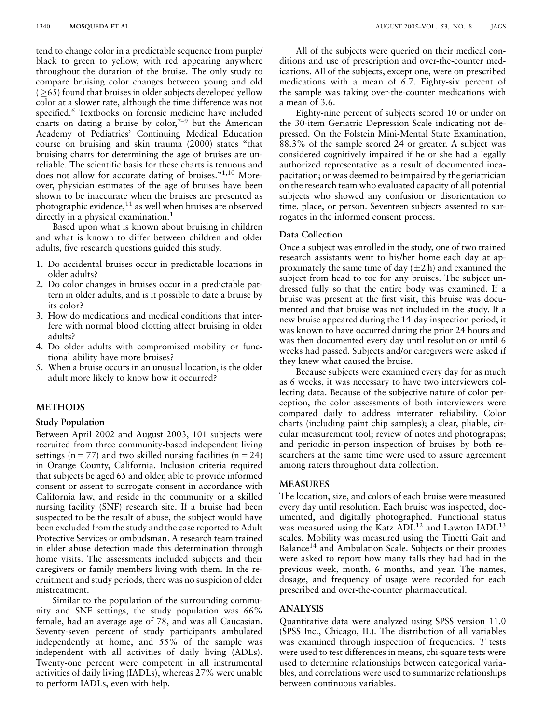tend to change color in a predictable sequence from purple/ black to green to yellow, with red appearing anywhere throughout the duration of the bruise. The only study to compare bruising color changes between young and old  $( \geq 65)$  found that bruises in older subjects developed yellow color at a slower rate, although the time difference was not specified.<sup>6</sup> Textbooks on forensic medicine have included charts on dating a bruise by  $color^{7-9}$  but the American Academy of Pediatrics' Continuing Medical Education course on bruising and skin trauma (2000) states ''that bruising charts for determining the age of bruises are unreliable. The scientific basis for these charts is tenuous and does not allow for accurate dating of bruises."<sup>1,10</sup> Moreover, physician estimates of the age of bruises have been shown to be inaccurate when the bruises are presented as photographic evidence, $11$  as well when bruises are observed directly in a physical examination.<sup>1</sup>

Based upon what is known about bruising in children and what is known to differ between children and older adults, five research questions guided this study.

- 1. Do accidental bruises occur in predictable locations in older adults?
- 2. Do color changes in bruises occur in a predictable pattern in older adults, and is it possible to date a bruise by its color?
- 3. How do medications and medical conditions that interfere with normal blood clotting affect bruising in older adults?
- 4. Do older adults with compromised mobility or functional ability have more bruises?
- 5. When a bruise occurs in an unusual location, is the older adult more likely to know how it occurred?

#### METHODS

#### Study Population

Between April 2002 and August 2003, 101 subjects were recruited from three community-based independent living settings ( $n = 77$ ) and two skilled nursing facilities ( $n = 24$ ) in Orange County, California. Inclusion criteria required that subjects be aged 65 and older, able to provide informed consent or assent to surrogate consent in accordance with California law, and reside in the community or a skilled nursing facility (SNF) research site. If a bruise had been suspected to be the result of abuse, the subject would have been excluded from the study and the case reported to Adult Protective Services or ombudsman. A research team trained in elder abuse detection made this determination through home visits. The assessments included subjects and their caregivers or family members living with them. In the recruitment and study periods, there was no suspicion of elder mistreatment.

Similar to the population of the surrounding community and SNF settings, the study population was 66% female, had an average age of 78, and was all Caucasian. Seventy-seven percent of study participants ambulated independently at home, and 55% of the sample was independent with all activities of daily living (ADLs). Twenty-one percent were competent in all instrumental activities of daily living (IADLs), whereas 27% were unable to perform IADLs, even with help.

All of the subjects were queried on their medical conditions and use of prescription and over-the-counter medications. All of the subjects, except one, were on prescribed medications with a mean of 6.7. Eighty-six percent of the sample was taking over-the-counter medications with a mean of 3.6.

Eighty-nine percent of subjects scored 10 or under on the 30-item Geriatric Depression Scale indicating not depressed. On the Folstein Mini-Mental State Examination, 88.3% of the sample scored 24 or greater. A subject was considered cognitively impaired if he or she had a legally authorized representative as a result of documented incapacitation; or was deemed to be impaired by the geriatrician on the research team who evaluated capacity of all potential subjects who showed any confusion or disorientation to time, place, or person. Seventeen subjects assented to surrogates in the informed consent process.

# Data Collection

Once a subject was enrolled in the study, one of two trained research assistants went to his/her home each day at approximately the same time of day  $(\pm 2 h)$  and examined the subject from head to toe for any bruises. The subject undressed fully so that the entire body was examined. If a bruise was present at the first visit, this bruise was documented and that bruise was not included in the study. If a new bruise appeared during the 14-day inspection period, it was known to have occurred during the prior 24 hours and was then documented every day until resolution or until 6 weeks had passed. Subjects and/or caregivers were asked if they knew what caused the bruise.

Because subjects were examined every day for as much as 6 weeks, it was necessary to have two interviewers collecting data. Because of the subjective nature of color perception, the color assessments of both interviewers were compared daily to address interrater reliability. Color charts (including paint chip samples); a clear, pliable, circular measurement tool; review of notes and photographs; and periodic in-person inspection of bruises by both researchers at the same time were used to assure agreement among raters throughout data collection.

## MEASURES

The location, size, and colors of each bruise were measured every day until resolution. Each bruise was inspected, documented, and digitally photographed. Functional status was measured using the Katz ADL<sup>12</sup> and Lawton IADL<sup>13</sup> scales. Mobility was measured using the Tinetti Gait and Balance<sup>14</sup> and Ambulation Scale. Subjects or their proxies were asked to report how many falls they had had in the previous week, month, 6 months, and year. The names, dosage, and frequency of usage were recorded for each prescribed and over-the-counter pharmaceutical.

## ANALYSIS

Quantitative data were analyzed using SPSS version 11.0 (SPSS Inc., Chicago, IL). The distribution of all variables was examined through inspection of frequencies. T tests were used to test differences in means, chi-square tests were used to determine relationships between categorical variables, and correlations were used to summarize relationships between continuous variables.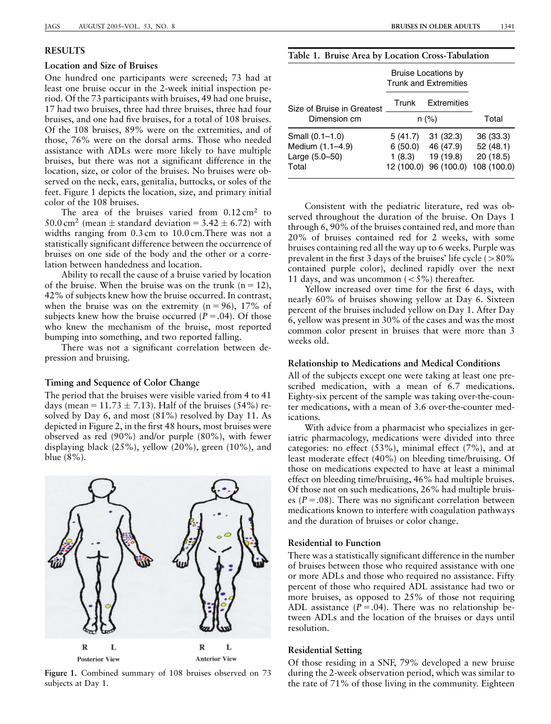## RESULTS

## Location and Size of Bruises

One hundred one participants were screened; 73 had at least one bruise occur in the 2-week initial inspection period. Of the 73 participants with bruises, 49 had one bruise, 17 had two bruises, three had three bruises, three had four bruises, and one had five bruises, for a total of 108 bruises. Of the 108 bruises, 89% were on the extremities, and of those, 76% were on the dorsal arms. Those who needed assistance with ADLs were more likely to have multiple bruises, but there was not a significant difference in the location, size, or color of the bruises. No bruises were observed on the neck, ears, genitalia, buttocks, or soles of the feet. Figure 1 depicts the location, size, and primary initial color of the 108 bruises.

The area of the bruises varied from  $0.12 \text{ cm}^2$  to 50.0 cm<sup>2</sup> (mean  $\pm$  standard deviation = 3.42  $\pm$  6.72) with widths ranging from 0.3 cm to 10.0 cm. There was not a statistically significant difference between the occurrence of bruises on one side of the body and the other or a correlation between handedness and location.

Ability to recall the cause of a bruise varied by location of the bruise. When the bruise was on the trunk  $(n = 12)$ , 42% of subjects knew how the bruise occurred. In contrast, when the bruise was on the extremity  $(n = 96)$ , 17% of subjects knew how the bruise occurred ( $P = .04$ ). Of those who knew the mechanism of the bruise, most reported bumping into something, and two reported falling.

There was not a significant correlation between depression and bruising.

#### Timing and Sequence of Color Change

The period that the bruises were visible varied from 4 to 41 days (mean =  $11.73 \pm 7.13$ ). Half of the bruises (54%) resolved by Day 6, and most (81%) resolved by Day 11. As depicted in Figure 2, in the first 48 hours, most bruises were observed as red (90%) and/or purple (80%), with fewer displaying black (25%), yellow (20%), green (10%), and blue (8%).



Figure 1. Combined summary of 108 bruises observed on 73 subjects at Day 1.

Table 1. Bruise Area by Location Cross-Tabulation

|                                     | <b>Bruise Locations by</b><br><b>Trunk and Extremities</b> |                         |                         |
|-------------------------------------|------------------------------------------------------------|-------------------------|-------------------------|
| Size of Bruise in Greatest          | Trunk                                                      | Extremities             |                         |
| Dimension cm                        | $n (\%)$                                                   |                         | Total                   |
| Small (0.1-1.0)<br>Medium (1.1-4.9) | 5(41.7)<br>6(50.0)                                         | 31(32.3)<br>46 (47.9)   | 36(33.3)<br>52(48.1)    |
| Large (5.0-50)<br>Total             | 1(8.3)<br>12 (100.0)                                       | 19 (19.8)<br>96 (100.0) | 20(18.5)<br>108 (100.0) |

Consistent with the pediatric literature, red was observed throughout the duration of the bruise. On Days 1 through 6, 90% of the bruises contained red, and more than 20% of bruises contained red for 2 weeks, with some bruises containing red all the way up to 6 weeks. Purple was prevalent in the first 3 days of the bruises' life cycle  $($  >  $80\%$ contained purple color), declined rapidly over the next 11 days, and was uncommon  $\left( < 5\% \right)$  thereafter.

Yellow increased over time for the first 6 days, with nearly 60% of bruises showing yellow at Day 6. Sixteen percent of the bruises included yellow on Day 1. After Day 6, yellow was present in 30% of the cases and was the most common color present in bruises that were more than 3 weeks old.

#### Relationship to Medications and Medical Conditions

All of the subjects except one were taking at least one prescribed medication, with a mean of 6.7 medications. Eighty-six percent of the sample was taking over-the-counter medications, with a mean of 3.6 over-the-counter medications.

With advice from a pharmacist who specializes in geriatric pharmacology, medications were divided into three categories: no effect  $(53\%)$ , minimal effect  $(7\%)$ , and at least moderate effect (40%) on bleeding time/bruising. Of those on medications expected to have at least a minimal effect on bleeding time/bruising, 46% had multiple bruises. Of those not on such medications, 26% had multiple bruises ( $P = .08$ ). There was no significant correlation between medications known to interfere with coagulation pathways and the duration of bruises or color change.

## Residential to Function

There was a statistically significant difference in the number of bruises between those who required assistance with one or more ADLs and those who required no assistance. Fifty percent of those who required ADL assistance had two or more bruises, as opposed to 25% of those not requiring ADL assistance  $(P = .04)$ . There was no relationship between ADLs and the location of the bruises or days until resolution.

## Residential Setting

Of those residing in a SNF, 79% developed a new bruise during the 2-week observation period, which was similar to the rate of 71% of those living in the community. Eighteen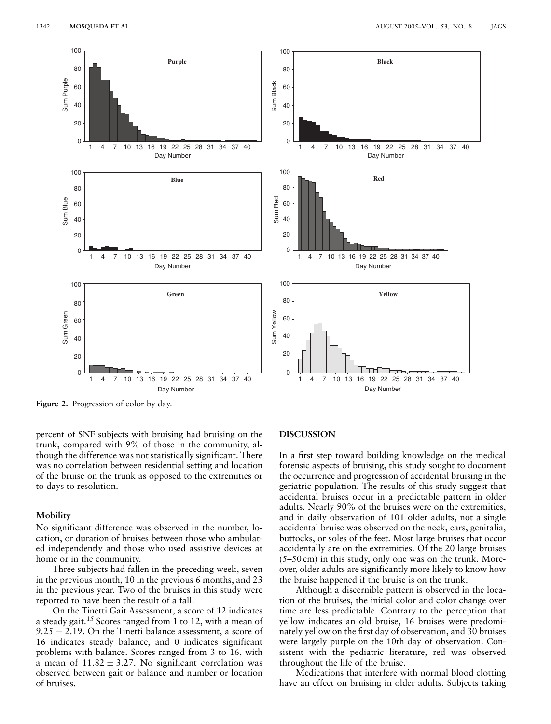

Figure 2. Progression of color by day.

percent of SNF subjects with bruising had bruising on the trunk, compared with 9% of those in the community, although the difference was not statistically significant. There was no correlation between residential setting and location of the bruise on the trunk as opposed to the extremities or to days to resolution.

#### **Mobility**

No significant difference was observed in the number, location, or duration of bruises between those who ambulated independently and those who used assistive devices at home or in the community.

Three subjects had fallen in the preceding week, seven in the previous month, 10 in the previous 6 months, and 23 in the previous year. Two of the bruises in this study were reported to have been the result of a fall.

On the Tinetti Gait Assessment, a score of 12 indicates a steady gait.15 Scores ranged from 1 to 12, with a mean of 9.25  $\pm$  2.19. On the Tinetti balance assessment, a score of 16 indicates steady balance, and 0 indicates significant problems with balance. Scores ranged from 3 to 16, with a mean of 11.82  $\pm$  3.27. No significant correlation was observed between gait or balance and number or location of bruises.

## DISCUSSION

In a first step toward building knowledge on the medical forensic aspects of bruising, this study sought to document the occurrence and progression of accidental bruising in the geriatric population. The results of this study suggest that accidental bruises occur in a predictable pattern in older adults. Nearly 90% of the bruises were on the extremities, and in daily observation of 101 older adults, not a single accidental bruise was observed on the neck, ears, genitalia, buttocks, or soles of the feet. Most large bruises that occur accidentally are on the extremities. Of the 20 large bruises (5–50 cm) in this study, only one was on the trunk. Moreover, older adults are significantly more likely to know how the bruise happened if the bruise is on the trunk.

Although a discernible pattern is observed in the location of the bruises, the initial color and color change over time are less predictable. Contrary to the perception that yellow indicates an old bruise, 16 bruises were predominately yellow on the first day of observation, and 30 bruises were largely purple on the 10th day of observation. Consistent with the pediatric literature, red was observed throughout the life of the bruise.

Medications that interfere with normal blood clotting have an effect on bruising in older adults. Subjects taking